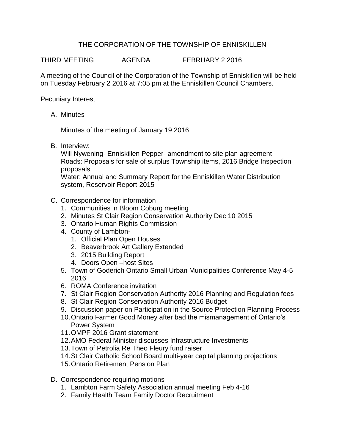## THE CORPORATION OF THE TOWNSHIP OF ENNISKILLEN

THIRD MEETING AGENDA FEBRUARY 2 2016

A meeting of the Council of the Corporation of the Township of Enniskillen will be held on Tuesday February 2 2016 at 7:05 pm at the Enniskillen Council Chambers.

Pecuniary Interest

A. Minutes

Minutes of the meeting of January 19 2016

B. Interview:

Will Nywening- Enniskillen Pepper- amendment to site plan agreement Roads: Proposals for sale of surplus Township items, 2016 Bridge Inspection proposals

Water: Annual and Summary Report for the Enniskillen Water Distribution system, Reservoir Report-2015

- C. Correspondence for information
	- 1. Communities in Bloom Coburg meeting
	- 2. Minutes St Clair Region Conservation Authority Dec 10 2015
	- 3. Ontario Human Rights Commission
	- 4. County of Lambton-
		- 1. Official Plan Open Houses
			- 2. Beaverbrook Art Gallery Extended
			- 3. 2015 Building Report
			- 4. Doors Open –host Sites
	- 5. Town of Goderich Ontario Small Urban Municipalities Conference May 4-5 2016
	- 6. ROMA Conference invitation
	- 7. St Clair Region Conservation Authority 2016 Planning and Regulation fees
	- 8. St Clair Region Conservation Authority 2016 Budget
	- 9. Discussion paper on Participation in the Source Protection Planning Process
	- 10.Ontario Farmer Good Money after bad the mismanagement of Ontario's Power System
	- 11.OMPF 2016 Grant statement
	- 12.AMO Federal Minister discusses Infrastructure Investments
	- 13.Town of Petrolia Re Theo Fleury fund raiser
	- 14.St Clair Catholic School Board multi-year capital planning projections
	- 15.Ontario Retirement Pension Plan
- D. Correspondence requiring motions
	- 1. Lambton Farm Safety Association annual meeting Feb 4-16
	- 2. Family Health Team Family Doctor Recruitment